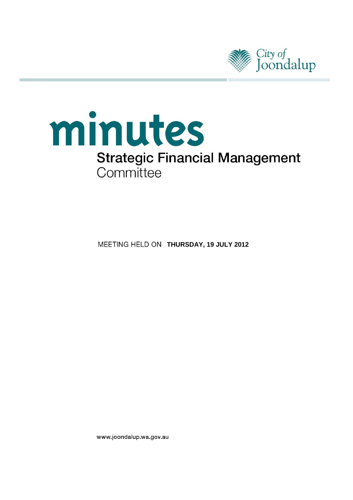

# minutes **Strategic Financial Management** Committee

**MEETING HELD ON THURSDAY, 19 JULY 2012** 

www.joondalup.wa.gov.au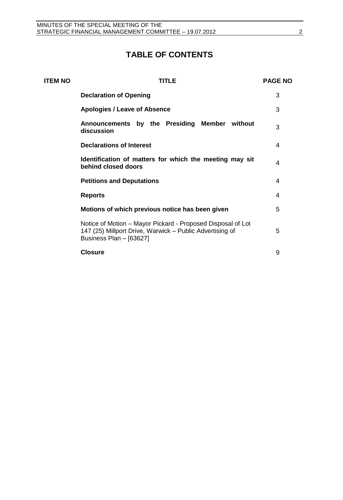## **TABLE OF CONTENTS**

| <b>ITEM NO</b> | TITLE                                                                                                                                              | <b>PAGE NO</b> |
|----------------|----------------------------------------------------------------------------------------------------------------------------------------------------|----------------|
|                | <b>Declaration of Opening</b>                                                                                                                      | 3              |
|                | <b>Apologies / Leave of Absence</b>                                                                                                                | 3              |
|                | Announcements by the Presiding Member without<br>discussion                                                                                        | 3              |
|                | <b>Declarations of Interest</b>                                                                                                                    | 4              |
|                | Identification of matters for which the meeting may sit<br>behind closed doors                                                                     | 4              |
|                | <b>Petitions and Deputations</b>                                                                                                                   | 4              |
|                | <b>Reports</b>                                                                                                                                     | 4              |
|                | Motions of which previous notice has been given                                                                                                    | 5              |
|                | Notice of Motion – Mayor Pickard - Proposed Disposal of Lot<br>147 (25) Millport Drive, Warwick – Public Advertising of<br>Business Plan - [63627] | 5              |
|                | <b>Closure</b>                                                                                                                                     | 9              |
|                |                                                                                                                                                    |                |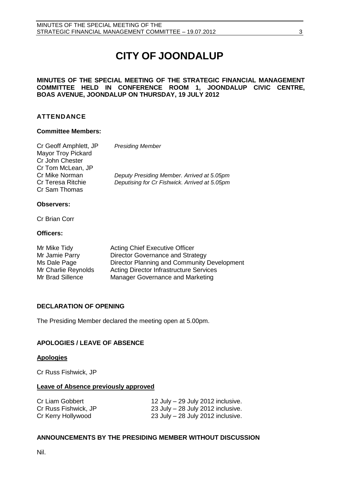# **CITY OF JOONDALUP**

#### **MINUTES OF THE SPECIAL MEETING OF THE STRATEGIC FINANCIAL MANAGEMENT COMMITTEE HELD IN CONFERENCE ROOM 1, JOONDALUP CIVIC CENTRE, BOAS AVENUE, JOONDALUP ON THURSDAY, 19 JULY 2012**

#### **ATTENDANCE**

#### **Committee Members:**

| Cr Geoff Amphlett, JP<br><b>Mayor Troy Pickard</b><br>Cr John Chester<br>Cr Tom McLean, JP | <b>Presiding Member</b>                                                                     |
|--------------------------------------------------------------------------------------------|---------------------------------------------------------------------------------------------|
| Cr Mike Norman<br><b>Cr Teresa Ritchie</b><br>Cr Sam Thomas                                | Deputy Presiding Member. Arrived at 5.05pm<br>Deputising for Cr Fishwick. Arrived at 5.05pm |
| Observers:                                                                                 |                                                                                             |
| Cr Brian Corr                                                                              |                                                                                             |

#### **Officers:**

| Mr Mike Tidy        | <b>Acting Chief Executive Officer</b>          |
|---------------------|------------------------------------------------|
| Mr Jamie Parry      | Director Governance and Strategy               |
| Ms Dale Page        | Director Planning and Community Development    |
| Mr Charlie Reynolds | <b>Acting Director Infrastructure Services</b> |
| Mr Brad Sillence    | Manager Governance and Marketing               |

#### <span id="page-2-0"></span>**DECLARATION OF OPENING**

The Presiding Member declared the meeting open at 5.00pm.

#### <span id="page-2-1"></span>**APOLOGIES / LEAVE OF ABSENCE**

#### **Apologies**

Cr Russ Fishwick, JP

#### **Leave of Absence previously approved**

| Cr Liam Gobbert      | 12 July $-$ 29 July 2012 inclusive.  |
|----------------------|--------------------------------------|
| Cr Russ Fishwick, JP | $23$ July $-28$ July 2012 inclusive. |
| Cr Kerry Hollywood   | $23$ July $-28$ July 2012 inclusive. |

#### <span id="page-2-2"></span>**ANNOUNCEMENTS BY THE PRESIDING MEMBER WITHOUT DISCUSSION**

Nil.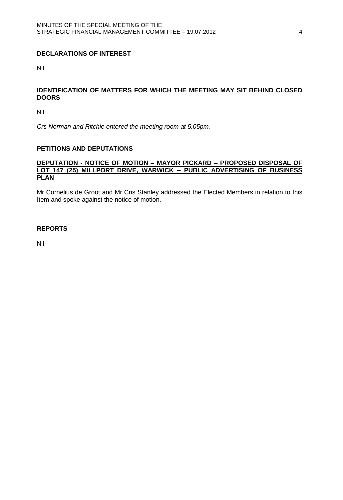### <span id="page-3-0"></span>**DECLARATIONS OF INTEREST**

Nil.

#### <span id="page-3-1"></span>**IDENTIFICATION OF MATTERS FOR WHICH THE MEETING MAY SIT BEHIND CLOSED DOORS**

Nil.

*Crs Norman and Ritchie entered the meeting room at 5.05pm.*

#### **PETITIONS AND DEPUTATIONS**

#### **DEPUTATION - NOTICE OF MOTION – MAYOR PICKARD – PROPOSED DISPOSAL OF LOT 147 (25) MILLPORT DRIVE, WARWICK – PUBLIC ADVERTISING OF BUSINESS PLAN**

Mr Cornelius de Groot and Mr Cris Stanley addressed the Elected Members in relation to this Item and spoke against the notice of motion.

#### <span id="page-3-2"></span>**REPORTS**

Nil.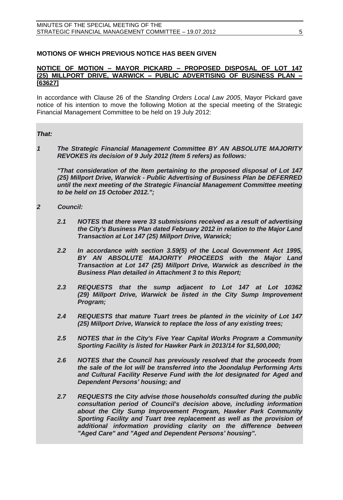### <span id="page-4-0"></span>**MOTIONS OF WHICH PREVIOUS NOTICE HAS BEEN GIVEN**

#### <span id="page-4-1"></span>**NOTICE OF MOTION – MAYOR PICKARD – PROPOSED DISPOSAL OF LOT 147 (25) MILLPORT DRIVE, WARWICK – PUBLIC ADVERTISING OF BUSINESS PLAN – [63627]**

In accordance with Clause 26 of the *Standing Orders Local Law 2005*, Mayor Pickard gave notice of his intention to move the following Motion at the special meeting of the Strategic Financial Management Committee to be held on 19 July 2012:

#### *That:*

*1 The Strategic Financial Management Committee BY AN ABSOLUTE MAJORITY REVOKES its decision of 9 July 2012 (Item 5 refers) as follows:*

*"That consideration of the Item pertaining to the proposed disposal of Lot 147 (25) Millport Drive, Warwick* **-** *Public Advertising of Business Plan be DEFERRED until the next meeting of the Strategic Financial Management Committee meeting to be held on 15 October 2012.";*

#### *2 Council:*

- *2.1 NOTES that there were 33 submissions received as a result of advertising the City's Business Plan dated February 2012 in relation to the Major Land Transaction at Lot 147 (25) Millport Drive, Warwick;*
- *2.2 In accordance with section 3.59(5) of the Local Government Act 1995, BY AN ABSOLUTE MAJORITY PROCEEDS with the Major Land Transaction at Lot 147 (25) Millport Drive, Warwick as described in the Business Plan detailed in Attachment 3 to this Report;*
- *2.3 REQUESTS that the sump adjacent to Lot 147 at Lot 10362 (29) Millport Drive, Warwick be listed in the City Sump Improvement Program;*
- *2.4 REQUESTS that mature Tuart trees be planted in the vicinity of Lot 147 (25) Millport Drive, Warwick to replace the loss of any existing trees;*
- *2.5 NOTES that in the City's Five Year Capital Works Program a Community Sporting Facility is listed for Hawker Park in 2013/14 for \$1,500,000;*
- *2.6 NOTES that the Council has previously resolved that the proceeds from the sale of the lot will be transferred into the Joondalup Performing Arts and Cultural Facility Reserve Fund with the lot designated for Aged and Dependent Persons' housing; and*
- *2.7 REQUESTS the City advise those households consulted during the public consultation period of Council's decision above, including information about the City Sump Improvement Program, Hawker Park Community Sporting Facility and Tuart tree replacement as well as the provision of additional information providing clarity on the difference between "Aged Care" and "Aged and Dependent Persons' housing".*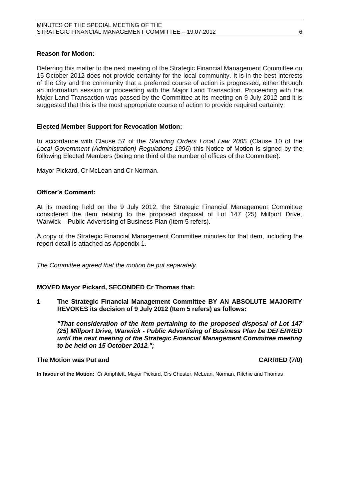#### **Reason for Motion:**

Deferring this matter to the next meeting of the Strategic Financial Management Committee on 15 October 2012 does not provide certainty for the local community. It is in the best interests of the City and the community that a preferred course of action is progressed, either through an information session or proceeding with the Major Land Transaction. Proceeding with the Major Land Transaction was passed by the Committee at its meeting on 9 July 2012 and it is suggested that this is the most appropriate course of action to provide required certainty.

#### **Elected Member Support for Revocation Motion:**

In accordance with Clause 57 of the *Standing Orders Local Law 2005* (Clause 10 of the *Local Government (Administration) Regulations 1996*) this Notice of Motion is signed by the following Elected Members (being one third of the number of offices of the Committee):

Mayor Pickard, Cr McLean and Cr Norman.

#### **Officer's Comment:**

At its meeting held on the 9 July 2012, the Strategic Financial Management Committee considered the item relating to the proposed disposal of Lot 147 (25) Millport Drive, Warwick – Public Advertising of Business Plan (Item 5 refers).

A copy of the Strategic Financial Management Committee minutes for that item, including the report detail is attached as Appendix 1.

*The Committee agreed that the motion be put separately.*

#### **MOVED Mayor Pickard, SECONDED Cr Thomas that:**

**1 The Strategic Financial Management Committee BY AN ABSOLUTE MAJORITY REVOKES its decision of 9 July 2012 (Item 5 refers) as follows:**

*"That consideration of the Item pertaining to the proposed disposal of Lot 147 (25) Millport Drive, Warwick - Public Advertising of Business Plan be DEFERRED until the next meeting of the Strategic Financial Management Committee meeting to be held on 15 October 2012.";*

#### The Motion was Put and **CARRIED** (7/0)

**In favour of the Motion:** Cr Amphlett, Mayor Pickard, Crs Chester, McLean, Norman, Ritchie and Thomas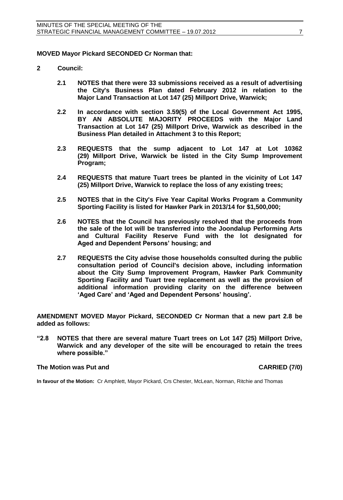#### **MOVED Mayor Pickard SECONDED Cr Norman that:**

- **2 Council:**
	- **2.1 NOTES that there were 33 submissions received as a result of advertising the City's Business Plan dated February 2012 in relation to the Major Land Transaction at Lot 147 (25) Millport Drive, Warwick;**
	- **2.2 In accordance with section 3.59(5) of the Local Government Act 1995, BY AN ABSOLUTE MAJORITY PROCEEDS with the Major Land Transaction at Lot 147 (25) Millport Drive, Warwick as described in the Business Plan detailed in Attachment 3 to this Report;**
	- **2.3 REQUESTS that the sump adjacent to Lot 147 at Lot 10362 (29) Millport Drive, Warwick be listed in the City Sump Improvement Program;**
	- **2.4 REQUESTS that mature Tuart trees be planted in the vicinity of Lot 147 (25) Millport Drive, Warwick to replace the loss of any existing trees;**
	- **2.5 NOTES that in the City's Five Year Capital Works Program a Community Sporting Facility is listed for Hawker Park in 2013/14 for \$1,500,000;**
	- **2.6 NOTES that the Council has previously resolved that the proceeds from the sale of the lot will be transferred into the Joondalup Performing Arts and Cultural Facility Reserve Fund with the lot designated for Aged and Dependent Persons' housing; and**
	- **2.7 REQUESTS the City advise those households consulted during the public consultation period of Council's decision above, including information about the City Sump Improvement Program, Hawker Park Community Sporting Facility and Tuart tree replacement as well as the provision of additional information providing clarity on the difference between 'Aged Care' and 'Aged and Dependent Persons' housing'.**

**AMENDMENT MOVED Mayor Pickard, SECONDED Cr Norman that a new part 2.8 be added as follows:**

**"2.8 NOTES that there are several mature Tuart trees on Lot 147 (25) Millport Drive, Warwick and any developer of the site will be encouraged to retain the trees where possible."**

#### **The Motion was Put and CARRIED (7/0)**

**In favour of the Motion:** Cr Amphlett, Mayor Pickard, Crs Chester, McLean, Norman, Ritchie and Thomas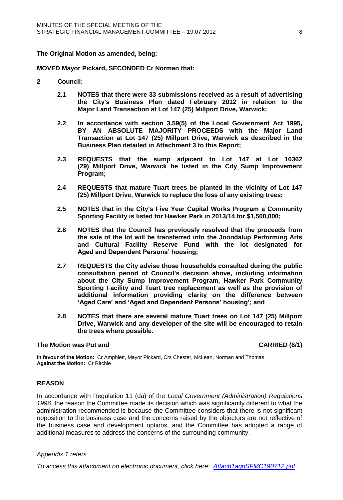**The Original Motion as amended, being:**

**MOVED Mayor Pickard, SECONDED Cr Norman that:**

- **2 Council:**
	- **2.1 NOTES that there were 33 submissions received as a result of advertising the City's Business Plan dated February 2012 in relation to the Major Land Transaction at Lot 147 (25) Millport Drive, Warwick;**
	- **2.2 In accordance with section 3.59(5) of the Local Government Act 1995, BY AN ABSOLUTE MAJORITY PROCEEDS with the Major Land Transaction at Lot 147 (25) Millport Drive, Warwick as described in the Business Plan detailed in Attachment 3 to this Report;**
	- **2.3 REQUESTS that the sump adjacent to Lot 147 at Lot 10362 (29) Millport Drive, Warwick be listed in the City Sump Improvement Program;**
	- **2.4 REQUESTS that mature Tuart trees be planted in the vicinity of Lot 147 (25) Millport Drive, Warwick to replace the loss of any existing trees;**
	- **2.5 NOTES that in the City's Five Year Capital Works Program a Community Sporting Facility is listed for Hawker Park in 2013/14 for \$1,500,000;**
	- **2.6 NOTES that the Council has previously resolved that the proceeds from the sale of the lot will be transferred into the Joondalup Performing Arts and Cultural Facility Reserve Fund with the lot designated for Aged and Dependent Persons' housing;**
	- **2.7 REQUESTS the City advise those households consulted during the public consultation period of Council's decision above, including information about the City Sump Improvement Program, Hawker Park Community Sporting Facility and Tuart tree replacement as well as the provision of additional information providing clarity on the difference between 'Aged Care' and 'Aged and Dependent Persons' housing'; and**
	- **2.8 NOTES that there are several mature Tuart trees on Lot 147 (25) Millport Drive, Warwick and any developer of the site will be encouraged to retain the trees where possible.**

#### **The Motion was Put and CARRIED (6/1)**

**In favour of the Motion:** Cr Amphlett, Mayor Pickard, Crs Chester, McLean, Norman and Thomas **Against the Motion:** Cr Ritchie

#### **REASON**

In accordance with Regulation 11 (da) of the *Local Government (Administration) Regulations 1996*, the reason the Committee made its decision which was significantly different to what the administration recommended is because the Committee considers that there is not significant opposition to the business case and the concerns raised by the objectors are not reflective of the business case and development options, and the Committee has adopted a range of additional measures to address the concerns of the surrounding community.

#### *Appendix 1 refers*

*To access this attachment on electronic document, click her[e:](Attach1agnSFMC190712.pdf) [Attach1agnSFMC190712.pdf](../../../minutes/minagenda/FINAL/Attachments/Attach1agnSFMC190712.pdf)*